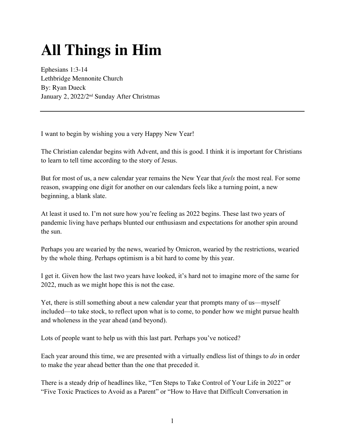# **All Things in Him**

Ephesians 1:3-14 Lethbridge Mennonite Church By: Ryan Dueck January 2, 2022/2nd Sunday After Christmas

I want to begin by wishing you a very Happy New Year!

The Christian calendar begins with Advent, and this is good. I think it is important for Christians to learn to tell time according to the story of Jesus.

But for most of us, a new calendar year remains the New Year that *feels* the most real. For some reason, swapping one digit for another on our calendars feels like a turning point, a new beginning, a blank slate.

At least it used to. I'm not sure how you're feeling as 2022 begins. These last two years of pandemic living have perhaps blunted our enthusiasm and expectations for another spin around the sun.

Perhaps you are wearied by the news, wearied by Omicron, wearied by the restrictions, wearied by the whole thing. Perhaps optimism is a bit hard to come by this year.

I get it. Given how the last two years have looked, it's hard not to imagine more of the same for 2022, much as we might hope this is not the case.

Yet, there is still something about a new calendar year that prompts many of us—myself included—to take stock, to reflect upon what is to come, to ponder how we might pursue health and wholeness in the year ahead (and beyond).

Lots of people want to help us with this last part. Perhaps you've noticed?

Each year around this time, we are presented with a virtually endless list of things to *do* in order to make the year ahead better than the one that preceded it.

There is a steady drip of headlines like, "Ten Steps to Take Control of Your Life in 2022" or "Five Toxic Practices to Avoid as a Parent" or "How to Have that Difficult Conversation in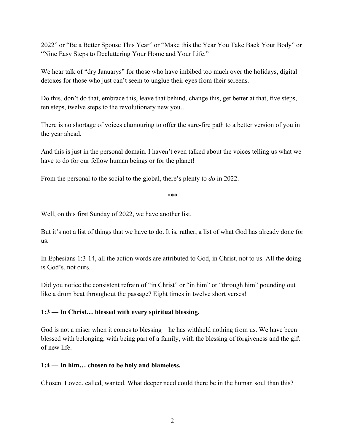2022" or "Be a Better Spouse This Year" or "Make this the Year You Take Back Your Body" or "Nine Easy Steps to Decluttering Your Home and Your Life."

We hear talk of "dry Januarys" for those who have imbibed too much over the holidays, digital detoxes for those who just can't seem to unglue their eyes from their screens.

Do this, don't do that, embrace this, leave that behind, change this, get better at that, five steps, ten steps, twelve steps to the revolutionary new you…

There is no shortage of voices clamouring to offer the sure-fire path to a better version of you in the year ahead.

And this is just in the personal domain. I haven't even talked about the voices telling us what we have to do for our fellow human beings or for the planet!

From the personal to the social to the global, there's plenty to *do* in 2022.

\*\*\*

Well, on this first Sunday of 2022, we have another list.

But it's not a list of things that we have to do. It is, rather, a list of what God has already done for us.

In Ephesians 1:3-14, all the action words are attributed to God, in Christ, not to us. All the doing is God's, not ours.

Did you notice the consistent refrain of "in Christ" or "in him" or "through him" pounding out like a drum beat throughout the passage? Eight times in twelve short verses!

#### **1:3 — In Christ… blessed with every spiritual blessing.**

God is not a miser when it comes to blessing—he has withheld nothing from us. We have been blessed with belonging, with being part of a family, with the blessing of forgiveness and the gift of new life.

#### **1:4 — In him… chosen to be holy and blameless.**

Chosen. Loved, called, wanted. What deeper need could there be in the human soul than this?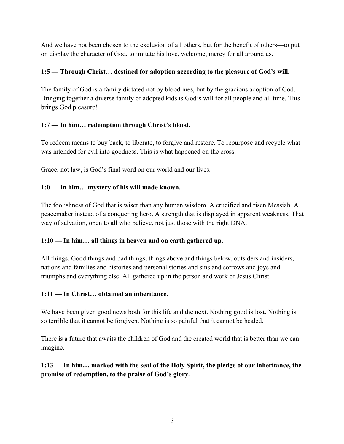And we have not been chosen to the exclusion of all others, but for the benefit of others—to put on display the character of God, to imitate his love, welcome, mercy for all around us.

### **1:5 — Through Christ… destined for adoption according to the pleasure of God's will.**

The family of God is a family dictated not by bloodlines, but by the gracious adoption of God. Bringing together a diverse family of adopted kids is God's will for all people and all time. This brings God pleasure!

# **1:7 — In him… redemption through Christ's blood.**

To redeem means to buy back, to liberate, to forgive and restore. To repurpose and recycle what was intended for evil into goodness. This is what happened on the cross.

Grace, not law, is God's final word on our world and our lives.

#### **1:0 — In him… mystery of his will made known.**

The foolishness of God that is wiser than any human wisdom. A crucified and risen Messiah. A peacemaker instead of a conquering hero. A strength that is displayed in apparent weakness. That way of salvation, open to all who believe, not just those with the right DNA.

#### **1:10 — In him… all things in heaven and on earth gathered up.**

All things. Good things and bad things, things above and things below, outsiders and insiders, nations and families and histories and personal stories and sins and sorrows and joys and triumphs and everything else. All gathered up in the person and work of Jesus Christ.

# **1:11 — In Christ… obtained an inheritance.**

We have been given good news both for this life and the next. Nothing good is lost. Nothing is so terrible that it cannot be forgiven. Nothing is so painful that it cannot be healed.

There is a future that awaits the children of God and the created world that is better than we can imagine.

# **1:13 — In him… marked with the seal of the Holy Spirit, the pledge of our inheritance, the promise of redemption, to the praise of God's glory.**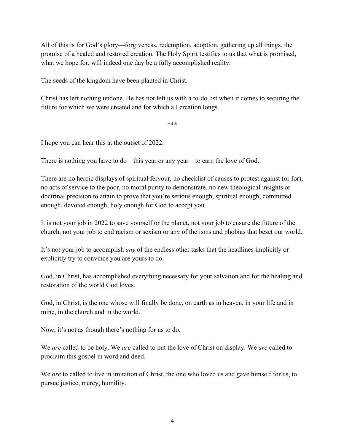All of this is for God's glory—forgiveness, redemption, adoption, gathering up all things, the promise of a healed and restored creation. The Holy Spirit testifies to us that what is promised, what we hope for, will indeed one day be a fully accomplished reality.

The seeds of the kingdom have been planted in Christ.

Christ has left nothing undone. He has not left us with a to-do list when it comes to securing the future for which we were created and for which all creation longs.

\*\*\*

I hope you can hear this at the outset of 2022.

There is nothing you have to do—this year or any year—to earn the love of God.

There are no heroic displays of spiritual fervour, no checklist of causes to protest against (or for), no acts of service to the poor, no moral purity to demonstrate, no new theological insights or doctrinal precision to attain to prove that you're serious enough, spiritual enough, committed enough, devoted enough, holy enough for God to accept you.

It is not your job in 2022 to save yourself or the planet, not your job to ensure the future of the church, not your job to end racism or sexism or any of the isms and phobias that beset our world.

It's not your job to accomplish *any* of the endless other tasks that the headlines implicitly or explicitly try to convince you are yours to do.

God, in Christ, has accomplished everything necessary for your salvation and for the healing and restoration of the world God loves.

God, in Christ, is the one whose will finally be done, on earth as in heaven, in your life and in mine, in the church and in the world.

Now, it's not as though there's nothing for us to do.

We *are* called to be holy. We *are* called to put the love of Christ on display. We *are* called to proclaim this gospel in word and deed.

We *are* to called to live in imitation of Christ, the one who loved us and gave himself for us, to pursue justice, mercy, humility.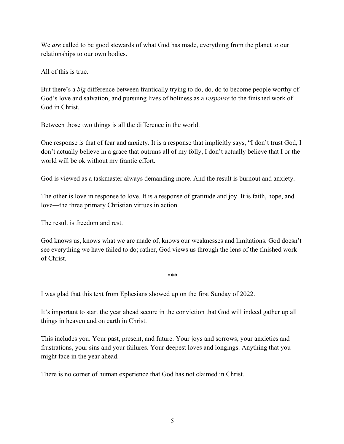We *are* called to be good stewards of what God has made, everything from the planet to our relationships to our own bodies.

All of this is true.

But there's a *big* difference between frantically trying to do, do, do to become people worthy of God's love and salvation, and pursuing lives of holiness as a *response* to the finished work of God in Christ.

Between those two things is all the difference in the world.

One response is that of fear and anxiety. It is a response that implicitly says, "I don't trust God, I don't actually believe in a grace that outruns all of my folly, I don't actually believe that I or the world will be ok without my frantic effort.

God is viewed as a taskmaster always demanding more. And the result is burnout and anxiety.

The other is love in response to love. It is a response of gratitude and joy. It is faith, hope, and love—the three primary Christian virtues in action.

The result is freedom and rest.

God knows us, knows what we are made of, knows our weaknesses and limitations. God doesn't see everything we have failed to do; rather, God views us through the lens of the finished work of Christ.

\*\*\*

I was glad that this text from Ephesians showed up on the first Sunday of 2022.

It's important to start the year ahead secure in the conviction that God will indeed gather up all things in heaven and on earth in Christ.

This includes you. Your past, present, and future. Your joys and sorrows, your anxieties and frustrations, your sins and your failures. Your deepest loves and longings. Anything that you might face in the year ahead.

There is no corner of human experience that God has not claimed in Christ.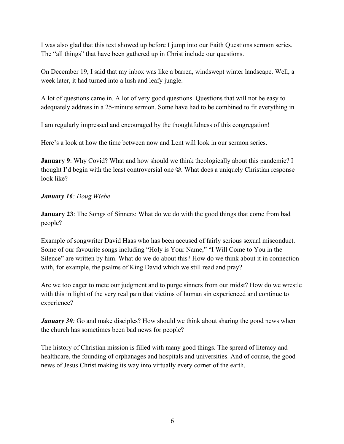I was also glad that this text showed up before I jump into our Faith Questions sermon series. The "all things" that have been gathered up in Christ include our questions.

On December 19, I said that my inbox was like a barren, windswept winter landscape. Well, a week later, it had turned into a lush and leafy jungle.

A lot of questions came in. A lot of very good questions. Questions that will not be easy to adequately address in a 25-minute sermon. Some have had to be combined to fit everything in

I am regularly impressed and encouraged by the thoughtfulness of this congregation!

Here's a look at how the time between now and Lent will look in our sermon series.

**January 9**: Why Covid? What and how should we think theologically about this pandemic? I thought I'd begin with the least controversial one  $\odot$ . What does a uniquely Christian response look like?

#### *January 16: Doug Wiebe*

**January 23**: The Songs of Sinners: What do we do with the good things that come from bad people?

Example of songwriter David Haas who has been accused of fairly serious sexual misconduct. Some of our favourite songs including "Holy is Your Name," "I Will Come to You in the Silence" are written by him. What do we do about this? How do we think about it in connection with, for example, the psalms of King David which we still read and pray?

Are we too eager to mete our judgment and to purge sinners from our midst? How do we wrestle with this in light of the very real pain that victims of human sin experienced and continue to experience?

*January 30:* Go and make disciples? How should we think about sharing the good news when the church has sometimes been bad news for people?

The history of Christian mission is filled with many good things. The spread of literacy and healthcare, the founding of orphanages and hospitals and universities. And of course, the good news of Jesus Christ making its way into virtually every corner of the earth.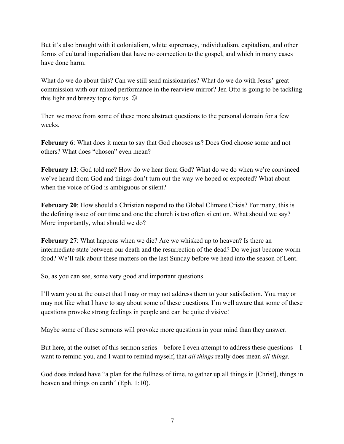But it's also brought with it colonialism, white supremacy, individualism, capitalism, and other forms of cultural imperialism that have no connection to the gospel, and which in many cases have done harm.

What do we do about this? Can we still send missionaries? What do we do with Jesus' great commission with our mixed performance in the rearview mirror? Jen Otto is going to be tackling this light and breezy topic for us.  $\odot$ 

Then we move from some of these more abstract questions to the personal domain for a few weeks.

**February 6**: What does it mean to say that God chooses us? Does God choose some and not others? What does "chosen" even mean?

**February 13**: God told me? How do we hear from God? What do we do when we're convinced we've heard from God and things don't turn out the way we hoped or expected? What about when the voice of God is ambiguous or silent?

**February 20**: How should a Christian respond to the Global Climate Crisis? For many, this is the defining issue of our time and one the church is too often silent on. What should we say? More importantly, what should we do?

**February 27**: What happens when we die? Are we whisked up to heaven? Is there an intermediate state between our death and the resurrection of the dead? Do we just become worm food? We'll talk about these matters on the last Sunday before we head into the season of Lent.

So, as you can see, some very good and important questions.

I'll warn you at the outset that I may or may not address them to your satisfaction. You may or may not like what I have to say about some of these questions. I'm well aware that some of these questions provoke strong feelings in people and can be quite divisive!

Maybe some of these sermons will provoke more questions in your mind than they answer.

But here, at the outset of this sermon series—before I even attempt to address these questions—I want to remind you, and I want to remind myself, that *all things* really does mean *all things*.

God does indeed have "a plan for the fullness of time, to gather up all things in [Christ], things in heaven and things on earth" (Eph. 1:10).